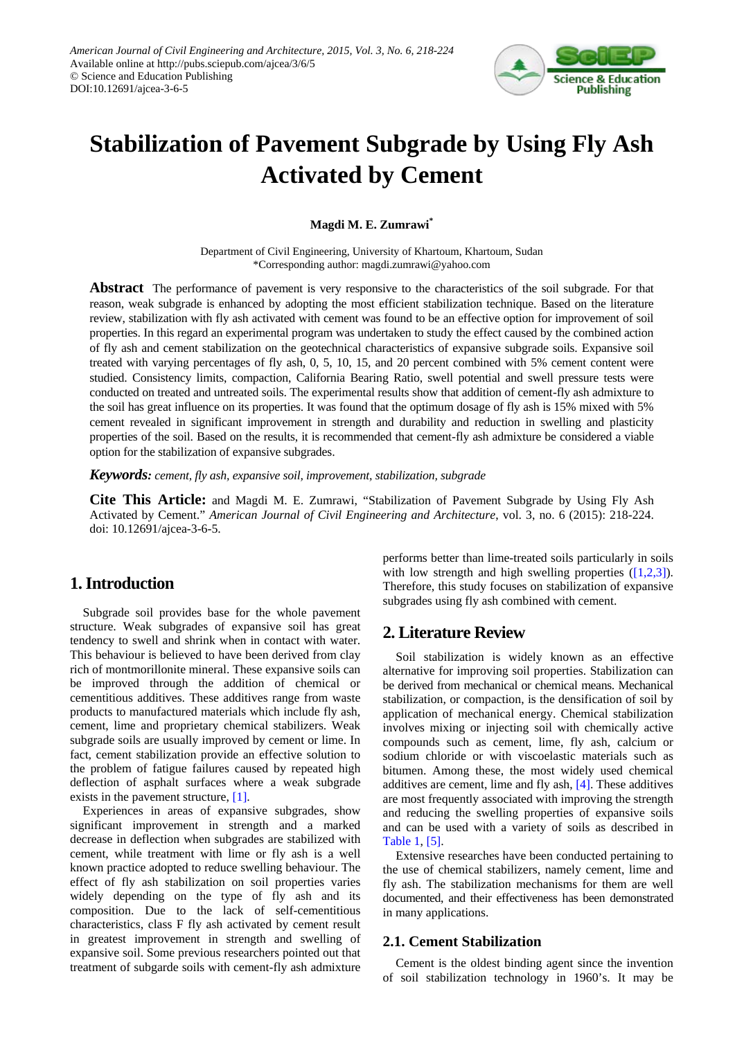

# **Stabilization of Pavement Subgrade by Using Fly Ash Activated by Cement**

## **Magdi M. E. Zumrawi\***

Department of Civil Engineering, University of Khartoum, Khartoum, Sudan \*Corresponding author: magdi.zumrawi@yahoo.com

**Abstract** The performance of pavement is very responsive to the characteristics of the soil subgrade. For that reason, weak subgrade is enhanced by adopting the most efficient stabilization technique. Based on the literature review, stabilization with fly ash activated with cement was found to be an effective option for improvement of soil properties. In this regard an experimental program was undertaken to study the effect caused by the combined action of fly ash and cement stabilization on the geotechnical characteristics of expansive subgrade soils. Expansive soil treated with varying percentages of fly ash, 0, 5, 10, 15, and 20 percent combined with 5% cement content were studied. Consistency limits, compaction, California Bearing Ratio, swell potential and swell pressure tests were conducted on treated and untreated soils. The experimental results show that addition of cement-fly ash admixture to the soil has great influence on its properties. It was found that the optimum dosage of fly ash is 15% mixed with 5% cement revealed in significant improvement in strength and durability and reduction in swelling and plasticity properties of the soil. Based on the results, it is recommended that cement-fly ash admixture be considered a viable option for the stabilization of expansive subgrades.

*Keywords: cement, fly ash, expansive soil, improvement, stabilization, subgrade*

**Cite This Article:** and Magdi M. E. Zumrawi, "Stabilization of Pavement Subgrade by Using Fly Ash Activated by Cement." *American Journal of Civil Engineering and Architecture*, vol. 3, no. 6 (2015): 218-224. doi: 10.12691/ajcea-3-6-5.

# **1. Introduction**

Subgrade soil provides base for the whole pavement structure. Weak subgrades of expansive soil has great tendency to swell and shrink when in contact with water. This behaviour is believed to have been derived from clay rich of montmorillonite mineral. These expansive soils can be improved through the addition of chemical or cementitious additives. These additives range from waste products to manufactured materials which include fly ash, cement, lime and proprietary chemical stabilizers. Weak subgrade soils are usually improved by cement or lime. In fact, cement stabilization provide an effective solution to the problem of fatigue failures caused by repeated high deflection of asphalt surfaces where a weak subgrade exists in the pavement structure, [\[1\].](#page-5-0)

Experiences in areas of expansive subgrades, show significant improvement in strength and a marked decrease in deflection when subgrades are stabilized with cement, while treatment with lime or fly ash is a well known practice adopted to reduce swelling behaviour. The effect of fly ash stabilization on soil properties varies widely depending on the type of fly ash and its composition. Due to the lack of self-cementitious characteristics, class F fly ash activated by cement result in greatest improvement in strength and swelling of expansive soil. Some previous researchers pointed out that treatment of subgarde soils with cement-fly ash admixture performs better than lime-treated soils particularly in soils with low strength and high swelling properties  $([1,2,3])$ . Therefore, this study focuses on stabilization of expansive subgrades using fly ash combined with cement.

# **2. Literature Review**

Soil stabilization is widely known as an effective alternative for improving soil properties. Stabilization can be derived from mechanical or chemical means. Mechanical stabilization, or compaction, is the densification of soil by application of mechanical energy. Chemical stabilization involves mixing or injecting soil with chemically active compounds such as cement, lime, fly ash, calcium or sodium chloride or with viscoelastic materials such as bitumen. Among these, the most widely used chemical additives are cement, lime and fly ash[, \[4\].](#page-5-1) These additives are most frequently associated with improving the strength and reducing the swelling properties of expansive soils and can be used with a variety of soils as described in [Table 1,](#page-1-0) [\[5\].](#page-5-2)

Extensive researches have been conducted pertaining to the use of chemical stabilizers, namely cement, lime and fly ash. The stabilization mechanisms for them are well documented, and their effectiveness has been demonstrated in many applications.

## **2.1. Cement Stabilization**

Cement is the oldest binding agent since the invention of soil stabilization technology in 1960's. It may be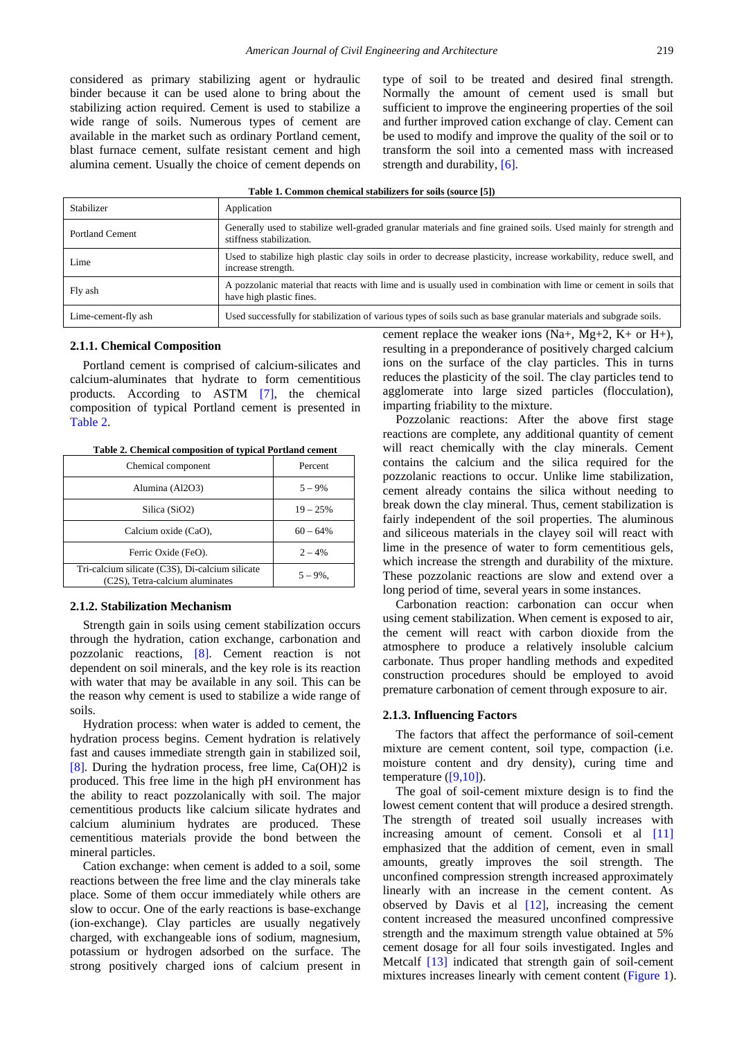considered as primary stabilizing agent or hydraulic binder because it can be used alone to bring about the stabilizing action required. Cement is used to stabilize a wide range of soils. Numerous types of cement are available in the market such as ordinary Portland cement, blast furnace cement, sulfate resistant cement and high alumina cement. Usually the choice of cement depends on type of soil to be treated and desired final strength. Normally the amount of cement used is small but sufficient to improve the engineering properties of the soil and further improved cation exchange of clay. Cement can be used to modify and improve the quality of the soil or to transform the soil into a cemented mass with increased strength and durability[, \[6\].](#page-5-3)

<span id="page-1-0"></span>

| Stabilizer             | Application                                                                                                                                  |
|------------------------|----------------------------------------------------------------------------------------------------------------------------------------------|
| <b>Portland Cement</b> | Generally used to stabilize well-graded granular materials and fine grained soils. Used mainly for strength and<br>stiffness stabilization.  |
| Lime                   | Used to stabilize high plastic clay soils in order to decrease plasticity, increase workability, reduce swell, and<br>increase strength.     |
| Fly ash                | A pozzolanic material that reacts with lime and is usually used in combination with lime or cement in soils that<br>have high plastic fines. |
| Lime-cement-fly ash    | Used successfully for stabilization of various types of soils such as base granular materials and subgrade soils.                            |

#### **2.1.1. Chemical Composition**

Portland cement is comprised of calcium-silicates and calcium-aluminates that hydrate to form cementitious products. According to ASTM [\[7\],](#page-5-4) the chemical composition of typical Portland cement is presented in [Table 2.](#page-1-1)

<span id="page-1-1"></span>

| Chemical component                                                                 | Percent     |
|------------------------------------------------------------------------------------|-------------|
| Alumina (Al2O3)                                                                    | $5 - 9\%$   |
| Silica (SiO2)                                                                      | $19 - 25%$  |
| Calcium oxide (CaO),                                                               | $60 - 64\%$ |
| Ferric Oxide (FeO).                                                                | $2 - 4%$    |
| Tri-calcium silicate (C3S), Di-calcium silicate<br>(C2S), Tetra-calcium aluminates | $5 - 9\%$ . |

**Table 2. Chemical composition of typical Portland cement**

#### **2.1.2. Stabilization Mechanism**

Strength gain in soils using cement stabilization occurs through the hydration, cation exchange, carbonation and pozzolanic reactions, [\[8\].](#page-5-5) Cement reaction is not dependent on soil minerals, and the key role is its reaction with water that may be available in any soil. This can be the reason why cement is used to stabilize a wide range of soils.

Hydration process: when water is added to cement, the hydration process begins. Cement hydration is relatively fast and causes immediate strength gain in stabilized soil, [\[8\].](#page-5-5) During the hydration process, free lime, Ca(OH)2 is produced. This free lime in the high pH environment has the ability to react pozzolanically with soil. The major cementitious products like calcium silicate hydrates and calcium aluminium hydrates are produced. These cementitious materials provide the bond between the mineral particles.

Cation exchange: when cement is added to a soil, some reactions between the free lime and the clay minerals take place. Some of them occur immediately while others are slow to occur. One of the early reactions is base-exchange (ion-exchange). Clay particles are usually negatively charged, with exchangeable ions of sodium, magnesium, potassium or hydrogen adsorbed on the surface. The strong positively charged ions of calcium present in

cement replace the weaker ions  $(Na+, Mg+2, K+$  or  $H+$ ), resulting in a preponderance of positively charged calcium ions on the surface of the clay particles. This in turns reduces the plasticity of the soil. The clay particles tend to agglomerate into large sized particles (flocculation), imparting friability to the mixture.

Pozzolanic reactions: After the above first stage reactions are complete, any additional quantity of cement will react chemically with the clay minerals. Cement contains the calcium and the silica required for the pozzolanic reactions to occur. Unlike lime stabilization, cement already contains the silica without needing to break down the clay mineral. Thus, cement stabilization is fairly independent of the soil properties. The aluminous and siliceous materials in the clayey soil will react with lime in the presence of water to form cementitious gels, which increase the strength and durability of the mixture. These pozzolanic reactions are slow and extend over a long period of time, several years in some instances.

Carbonation reaction: carbonation can occur when using cement stabilization. When cement is exposed to air, the cement will react with carbon dioxide from the atmosphere to produce a relatively insoluble calcium carbonate. Thus proper handling methods and expedited construction procedures should be employed to avoid premature carbonation of cement through exposure to air.

#### **2.1.3. Influencing Factors**

The factors that affect the performance of soil-cement mixture are cement content, soil type, compaction (i.e. moisture content and dry density), curing time and temperature [\(\[9,10\]\)](#page-5-6).

The goal of soil-cement mixture design is to find the lowest cement content that will produce a desired strength. The strength of treated soil usually increases with increasing amount of cement. Consoli et al [\[11\]](#page-5-7) emphasized that the addition of cement, even in small amounts, greatly improves the soil strength. The unconfined compression strength increased approximately linearly with an increase in the cement content. As observed by Davis et al [\[12\],](#page-6-0) increasing the cement content increased the measured unconfined compressive strength and the maximum strength value obtained at 5% cement dosage for all four soils investigated. Ingles and Metcalf [\[13\]](#page-6-1) indicated that strength gain of soil-cement mixtures increases linearly with cement content [\(Figure 1\)](#page-2-0).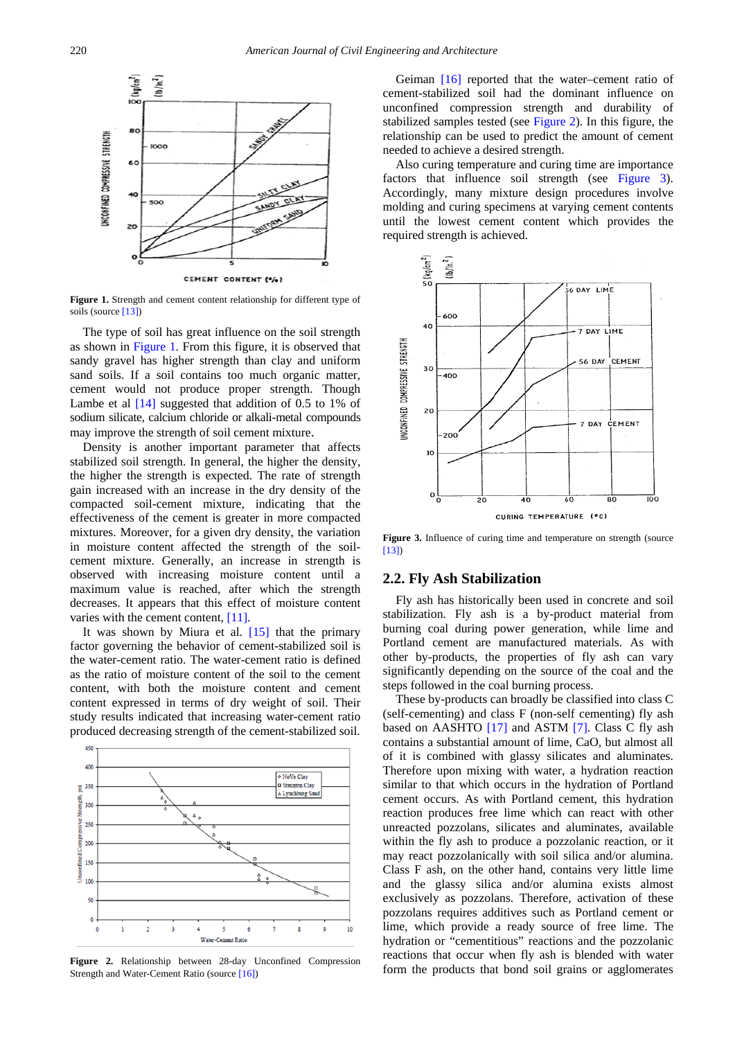<span id="page-2-0"></span>

**Figure 1.** Strength and cement content relationship for different type of soils (source [\[13\]\)](#page-6-1)

The type of soil has great influence on the soil strength as shown in [Figure 1.](#page-2-0) From this figure, it is observed that sandy gravel has higher strength than clay and uniform sand soils. If a soil contains too much organic matter, cement would not produce proper strength. Though Lambe et al  $[14]$  suggested that addition of 0.5 to 1% of sodium silicate, calcium chloride or alkali-metal compounds may improve the strength of soil cement mixture.

Density is another important parameter that affects stabilized soil strength. In general, the higher the density, the higher the strength is expected. The rate of strength gain increased with an increase in the dry density of the compacted soil-cement mixture, indicating that the effectiveness of the cement is greater in more compacted mixtures. Moreover, for a given dry density, the variation in moisture content affected the strength of the soilcement mixture. Generally, an increase in strength is observed with increasing moisture content until a maximum value is reached, after which the strength decreases. It appears that this effect of moisture content varies with the cement content, [\[11\].](#page-5-7)

It was shown by Miura et al. [\[15\]](#page-6-3) that the primary factor governing the behavior of cement-stabilized soil is the water-cement ratio. The water-cement ratio is defined as the ratio of moisture content of the soil to the cement content, with both the moisture content and cement content expressed in terms of dry weight of soil. Their study results indicated that increasing water-cement ratio produced decreasing strength of the cement-stabilized soil.

<span id="page-2-1"></span>

**Figure 2.** Relationship between 28-day Unconfined Compression Strength and Water-Cement Ratio (sourc[e \[16\]\)](#page-6-4)

Geiman [\[16\]](#page-6-4) reported that the water–cement ratio of cement-stabilized soil had the dominant influence on unconfined compression strength and durability of stabilized samples tested (see [Figure 2\)](#page-2-1). In this figure, the relationship can be used to predict the amount of cement needed to achieve a desired strength.

Also curing temperature and curing time are importance factors that influence soil strength (see [Figure 3\)](#page-2-2). Accordingly, many mixture design procedures involve molding and curing specimens at varying cement contents until the lowest cement content which provides the required strength is achieved.

<span id="page-2-2"></span>

**Figure 3.** Influence of curing time and temperature on strength (source [\[13\]\)](#page-6-1)

## **2.2. Fly Ash Stabilization**

Fly ash has historically been used in concrete and soil stabilization. Fly ash is a by-product material from burning coal during power generation, while lime and Portland cement are manufactured materials. As with other by-products, the properties of fly ash can vary significantly depending on the source of the coal and the steps followed in the coal burning process.

These by-products can broadly be classified into class C (self-cementing) and class F (non-self cementing) fly ash based on AASHTO [\[17\]](#page-6-5) and ASTM [\[7\].](#page-5-4) Class C fly ash contains a substantial amount of lime, CaO, but almost all of it is combined with glassy silicates and aluminates. Therefore upon mixing with water, a hydration reaction similar to that which occurs in the hydration of Portland cement occurs. As with Portland cement, this hydration reaction produces free lime which can react with other unreacted pozzolans, silicates and aluminates, available within the fly ash to produce a pozzolanic reaction, or it may react pozzolanically with soil silica and/or alumina. Class F ash, on the other hand, contains very little lime and the glassy silica and/or alumina exists almost exclusively as pozzolans. Therefore, activation of these pozzolans requires additives such as Portland cement or lime, which provide a ready source of free lime. The hydration or "cementitious" reactions and the pozzolanic reactions that occur when fly ash is blended with water form the products that bond soil grains or agglomerates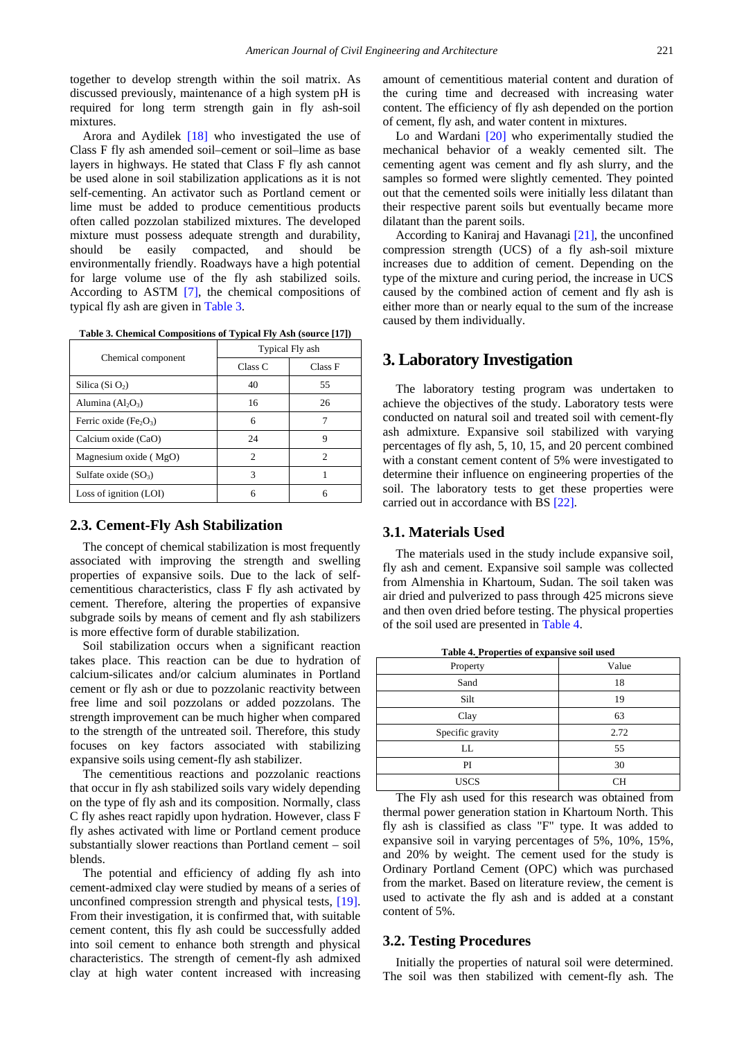together to develop strength within the soil matrix. As discussed previously, maintenance of a high system pH is required for long term strength gain in fly ash-soil mixtures.

Arora and Aydilek [\[18\]](#page-6-6) who investigated the use of Class F fly ash amended soil–cement or soil–lime as base layers in highways. He stated that Class F fly ash cannot be used alone in soil stabilization applications as it is not self-cementing. An activator such as Portland cement or lime must be added to produce cementitious products often called pozzolan stabilized mixtures. The developed mixture must possess adequate strength and durability, should be easily compacted, and should be environmentally friendly. Roadways have a high potential for large volume use of the fly ash stabilized soils. According to ASTM [\[7\],](#page-5-4) the chemical compositions of typical fly ash are given i[n Table 3.](#page-3-0)

| Table 3. Chemical Compositions of Typical Fly Ash (source [17]) |
|-----------------------------------------------------------------|
|                                                                 |

<span id="page-3-0"></span>

|                                                | Typical Fly ash    |         |
|------------------------------------------------|--------------------|---------|
| Chemical component                             | Class <sub>C</sub> | Class F |
| Silica (Si $O2$ )                              | 40                 | 55      |
| Alumina $(Al_2O_3)$                            | 16                 | 26      |
| Ferric oxide (Fe <sub>2</sub> O <sub>3</sub> ) | 6                  | 7       |
| Calcium oxide (CaO)                            | 24                 | 9       |
| Magnesium oxide (MgO)                          | 2                  | 2       |
| Sulfate oxide $(SO_3)$                         | 3                  |         |
| Loss of ignition (LOI)                         | 6                  | 6       |

## **2.3. Cement-Fly Ash Stabilization**

The concept of chemical stabilization is most frequently associated with improving the strength and swelling properties of expansive soils. Due to the lack of selfcementitious characteristics, class F fly ash activated by cement. Therefore, altering the properties of expansive subgrade soils by means of cement and fly ash stabilizers is more effective form of durable stabilization.

Soil stabilization occurs when a significant reaction takes place. This reaction can be due to hydration of calcium-silicates and/or calcium aluminates in Portland cement or fly ash or due to pozzolanic reactivity between free lime and soil pozzolans or added pozzolans. The strength improvement can be much higher when compared to the strength of the untreated soil. Therefore, this study focuses on key factors associated with stabilizing expansive soils using cement-fly ash stabilizer.

The cementitious reactions and pozzolanic reactions that occur in fly ash stabilized soils vary widely depending on the type of fly ash and its composition. Normally, class C fly ashes react rapidly upon hydration. However, class F fly ashes activated with lime or Portland cement produce substantially slower reactions than Portland cement – soil blends.

The potential and efficiency of adding fly ash into cement-admixed clay were studied by means of a series of unconfined compression strength and physical tests, [\[19\].](#page-6-7) From their investigation, it is confirmed that, with suitable cement content, this fly ash could be successfully added into soil cement to enhance both strength and physical characteristics. The strength of cement-fly ash admixed clay at high water content increased with increasing amount of cementitious material content and duration of the curing time and decreased with increasing water content. The efficiency of fly ash depended on the portion of cement, fly ash, and water content in mixtures.

Lo and Wardani [\[20\]](#page-6-8) who experimentally studied the mechanical behavior of a weakly cemented silt. The cementing agent was cement and fly ash slurry, and the samples so formed were slightly cemented. They pointed out that the cemented soils were initially less dilatant than their respective parent soils but eventually became more dilatant than the parent soils.

According to Kaniraj and Havanagi [\[21\],](#page-6-9) the unconfined compression strength (UCS) of a fly ash-soil mixture increases due to addition of cement. Depending on the type of the mixture and curing period, the increase in UCS caused by the combined action of cement and fly ash is either more than or nearly equal to the sum of the increase caused by them individually.

## **3. Laboratory Investigation**

The laboratory testing program was undertaken to achieve the objectives of the study. Laboratory tests were conducted on natural soil and treated soil with cement-fly ash admixture. Expansive soil stabilized with varying percentages of fly ash, 5, 10, 15, and 20 percent combined with a constant cement content of 5% were investigated to determine their influence on engineering properties of the soil. The laboratory tests to get these properties were carried out in accordance with BS [\[22\].](#page-6-10)

## **3.1. Materials Used**

The materials used in the study include expansive soil, fly ash and cement. Expansive soil sample was collected from Almenshia in Khartoum, Sudan. The soil taken was air dried and pulverized to pass through 425 microns sieve and then oven dried before testing. The physical properties of the soil used are presented in [Table 4.](#page-3-1)

<span id="page-3-1"></span>

| <b>Table 4. Properties of expansive soft used</b> |           |  |
|---------------------------------------------------|-----------|--|
| Property                                          | Value     |  |
| Sand                                              | 18        |  |
| Silt                                              | 19        |  |
| Clay                                              | 63        |  |
| Specific gravity                                  | 2.72      |  |
| LL                                                | 55        |  |
| PI                                                | 30        |  |
| <b>USCS</b>                                       | <b>CH</b> |  |
|                                                   |           |  |

**Table 4. Properties of expansive soil used**

The Fly ash used for this research was obtained from thermal power generation station in Khartoum North. This fly ash is classified as class "F" type. It was added to expansive soil in varying percentages of 5%, 10%, 15%, and 20% by weight. The cement used for the study is Ordinary Portland Cement (OPC) which was purchased from the market. Based on literature review, the cement is used to activate the fly ash and is added at a constant content of 5%.

## **3.2. Testing Procedures**

Initially the properties of natural soil were determined. The soil was then stabilized with cement-fly ash. The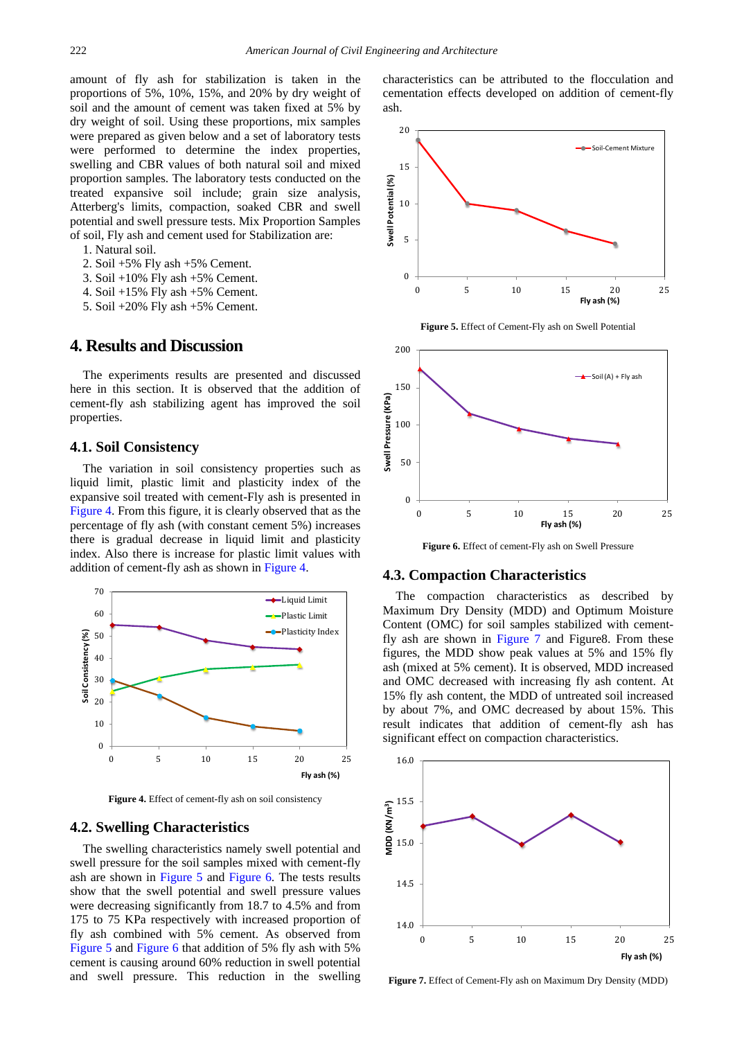amount of fly ash for stabilization is taken in the proportions of 5%, 10%, 15%, and 20% by dry weight of soil and the amount of cement was taken fixed at 5% by dry weight of soil. Using these proportions, mix samples were prepared as given below and a set of laboratory tests were performed to determine the index properties, swelling and CBR values of both natural soil and mixed proportion samples. The laboratory tests conducted on the treated expansive soil include; grain size analysis, Atterberg's limits, compaction, soaked CBR and swell potential and swell pressure tests. Mix Proportion Samples of soil, Fly ash and cement used for Stabilization are:

- 1. Natural soil.
- 2. Soil +5% Fly ash +5% Cement.
- 3. Soil +10% Fly ash +5% Cement.
- 4. Soil +15% Fly ash +5% Cement.
- 5. Soil +20% Fly ash +5% Cement.

## **4. Results and Discussion**

The experiments results are presented and discussed here in this section. It is observed that the addition of cement-fly ash stabilizing agent has improved the soil properties.

## **4.1. Soil Consistency**

The variation in soil consistency properties such as liquid limit, plastic limit and plasticity index of the expansive soil treated with cement-Fly ash is presented in [Figure 4.](#page-4-0) From this figure, it is clearly observed that as the percentage of fly ash (with constant cement 5%) increases there is gradual decrease in liquid limit and plasticity index. Also there is increase for plastic limit values with addition of cement-fly ash as shown in [Figure 4.](#page-4-0)

<span id="page-4-0"></span>

**Figure 4.** Effect of cement-fly ash on soil consistency

#### **4.2. Swelling Characteristics**

The swelling characteristics namely swell potential and swell pressure for the soil samples mixed with cement-fly ash are shown in [Figure 5](#page-4-1) and [Figure 6.](#page-4-2) The tests results show that the swell potential and swell pressure values were decreasing significantly from 18.7 to 4.5% and from 175 to 75 KPa respectively with increased proportion of fly ash combined with 5% cement. As observed from [Figure 5](#page-4-1) and [Figure 6](#page-4-2) that addition of 5% fly ash with 5% cement is causing around 60% reduction in swell potential and swell pressure. This reduction in the swelling characteristics can be attributed to the flocculation and cementation effects developed on addition of cement-fly ash.

<span id="page-4-1"></span>

**Figure 5.** Effect of Cement-Fly ash on Swell Potential

<span id="page-4-2"></span>

**Figure 6.** Effect of cement-Fly ash on Swell Pressure

#### **4.3. Compaction Characteristics**

The compaction characteristics as described by Maximum Dry Density (MDD) and Optimum Moisture Content (OMC) for soil samples stabilized with cementfly ash are shown in [Figure 7](#page-4-3) and Figure8. From these figures, the MDD show peak values at 5% and 15% fly ash (mixed at 5% cement). It is observed, MDD increased and OMC decreased with increasing fly ash content. At 15% fly ash content, the MDD of untreated soil increased by about 7%, and OMC decreased by about 15%. This result indicates that addition of cement-fly ash has significant effect on compaction characteristics.

<span id="page-4-3"></span>

**Figure 7.** Effect of Cement-Fly ash on Maximum Dry Density (MDD)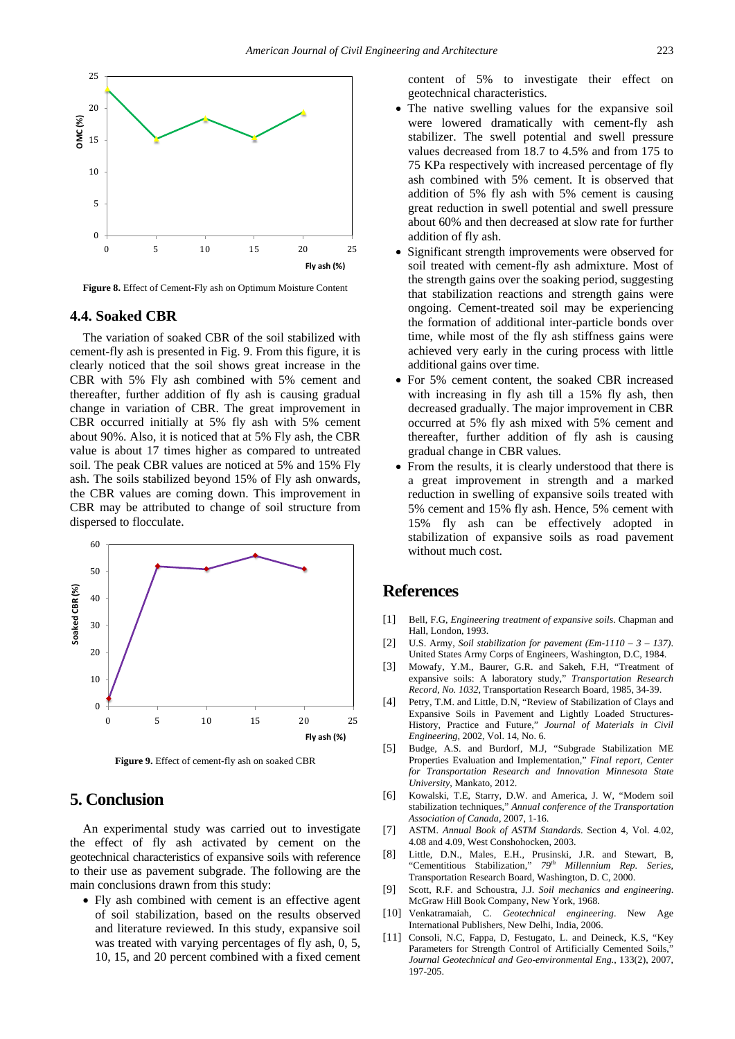

**Figure 8.** Effect of Cement-Fly ash on Optimum Moisture Content

## **4.4. Soaked CBR**

The variation of soaked CBR of the soil stabilized with cement-fly ash is presented in Fig. 9. From this figure, it is clearly noticed that the soil shows great increase in the CBR with 5% Fly ash combined with 5% cement and thereafter, further addition of fly ash is causing gradual change in variation of CBR. The great improvement in CBR occurred initially at 5% fly ash with 5% cement about 90%. Also, it is noticed that at 5% Fly ash, the CBR value is about 17 times higher as compared to untreated soil. The peak CBR values are noticed at 5% and 15% Fly ash. The soils stabilized beyond 15% of Fly ash onwards, the CBR values are coming down. This improvement in CBR may be attributed to change of soil structure from dispersed to flocculate.



**Figure 9.** Effect of cement-fly ash on soaked CBR

## **5. Conclusion**

An experimental study was carried out to investigate the effect of fly ash activated by cement on the geotechnical characteristics of expansive soils with reference to their use as pavement subgrade. The following are the main conclusions drawn from this study:

• Fly ash combined with cement is an effective agent of soil stabilization, based on the results observed and literature reviewed. In this study, expansive soil was treated with varying percentages of fly ash, 0, 5, 10, 15, and 20 percent combined with a fixed cement content of 5% to investigate their effect on geotechnical characteristics.

- The native swelling values for the expansive soil were lowered dramatically with cement-fly ash stabilizer. The swell potential and swell pressure values decreased from 18.7 to 4.5% and from 175 to 75 KPa respectively with increased percentage of fly ash combined with 5% cement. It is observed that addition of 5% fly ash with 5% cement is causing great reduction in swell potential and swell pressure about 60% and then decreased at slow rate for further addition of fly ash.
- Significant strength improvements were observed for soil treated with cement-fly ash admixture. Most of the strength gains over the soaking period, suggesting that stabilization reactions and strength gains were ongoing. Cement-treated soil may be experiencing the formation of additional inter-particle bonds over time, while most of the fly ash stiffness gains were achieved very early in the curing process with little additional gains over time.
- For 5% cement content, the soaked CBR increased with increasing in fly ash till a 15% fly ash, then decreased gradually. The major improvement in CBR occurred at 5% fly ash mixed with 5% cement and thereafter, further addition of fly ash is causing gradual change in CBR values.
- From the results, it is clearly understood that there is a great improvement in strength and a marked reduction in swelling of expansive soils treated with 5% cement and 15% fly ash. Hence, 5% cement with 15% fly ash can be effectively adopted in stabilization of expansive soils as road pavement without much cost.

## **References**

- <span id="page-5-0"></span>[1] Bell, F.G, *Engineering treatment of expansive soils*. Chapman and Hall, London, 1993.
- [2] U.S. Army, *Soil stabilization for pavement (Em-1110 – 3 – 137)*. United States Army Corps of Engineers, Washington, D.C, 1984.
- [3] Mowafy, Y.M., Baurer, G.R. and Sakeh, F.H, "Treatment of expansive soils: A laboratory study," *Transportation Research Record, No. 1032*, Transportation Research Board, 1985, 34-39.
- <span id="page-5-1"></span>[4] Petry, T.M. and Little, D.N, "Review of Stabilization of Clays and Expansive Soils in Pavement and Lightly Loaded Structures-History, Practice and Future," *Journal of Materials in Civil Engineering*, 2002, Vol. 14, No. 6.
- <span id="page-5-2"></span>[5] Budge, A.S. and Burdorf, M.J, "Subgrade Stabilization ME Properties Evaluation and Implementation," *Final report, Center for Transportation Research and Innovation Minnesota State University*, Mankato, 2012.
- <span id="page-5-3"></span>[6] Kowalski, T.E, Starry, D.W. and America, J. W, "Modern soil stabilization techniques," *Annual conference of the Transportation Association of Canada*, 2007, 1-16.
- <span id="page-5-4"></span>[7] ASTM. *Annual Book of ASTM Standards*. Section 4, Vol. 4.02, 4.08 and 4.09, West Conshohocken, 2003.
- <span id="page-5-5"></span>[8] Little, D.N., Males, E.H., Prusinski, J.R. and Stewart, B, "Cementitious Stabilization," *79th Millennium Rep. Series*, Transportation Research Board, Washington, D. C, 2000.
- <span id="page-5-6"></span>[9] Scott, R.F. and Schoustra, J.J. *Soil mechanics and engineering*. McGraw Hill Book Company, New York, 1968.
- [10] Venkatramaiah, C. *Geotechnical engineering*. New Age International Publishers, New Delhi, India, 2006.
- <span id="page-5-7"></span>[11] Consoli, N.C, Fappa, D, Festugato, L. and Deineck, K.S, "Key Parameters for Strength Control of Artificially Cemented Soils, *Journal Geotechnical and Geo-environmental Eng.*, 133(2), 2007, 197-205.